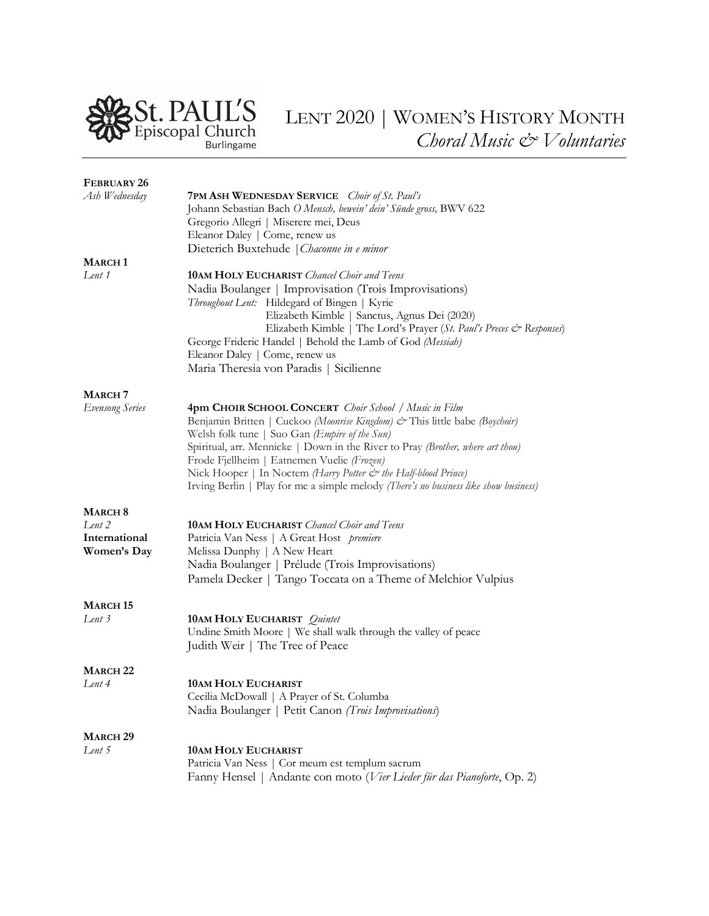

| FEBRUARY 26            |                                                                                      |
|------------------------|--------------------------------------------------------------------------------------|
| Ash Wednesday          | <b>7PM ASH WEDNESDAY SERVICE</b> <i>Choir of St. Paul's</i>                          |
|                        | Johann Sebastian Bach O Mensch, bewein' dein' Sünde gross, BWV 622                   |
|                        | Gregorio Allegri   Miserere mei, Deus                                                |
|                        | Eleanor Daley   Come, renew us                                                       |
|                        | Dieterich Buxtehude   Chaconne in e minor                                            |
| <b>MARCH1</b>          |                                                                                      |
| Lent 1                 | <b>10AM HOLY EUCHARIST</b> Chancel Choir and Teens                                   |
|                        | Nadia Boulanger   Improvisation (Trois Improvisations)                               |
|                        | Throughout Lent: Hildegard of Bingen   Kyrie                                         |
|                        | Elizabeth Kimble   Sanctus, Agnus Dei (2020)                                         |
|                        | Elizabeth Kimble   The Lord's Prayer (St. Paul's Preces & Responses)                 |
|                        | George Frideric Handel   Behold the Lamb of God (Messiah)                            |
|                        | Eleanor Daley   Come, renew us                                                       |
|                        | Maria Theresia von Paradis   Sicilienne                                              |
|                        |                                                                                      |
| <b>MARCH</b> 7         | <b>4pm CHOIR SCHOOL CONCERT</b> Choir School / Music in Film                         |
| <b>Evensong Series</b> | Benjamin Britten   Cuckoo (Moonrise Kingdom) & This little babe (Boychoir)           |
|                        | Welsh folk tune   Suo Gan (Empire of the Sun)                                        |
|                        | Spiritual, arr. Mennicke   Down in the River to Pray (Brother, where art thou)       |
|                        | Frode Fjellheim   Eatnemen Vuelie (Frozen)                                           |
|                        | Nick Hooper   In Noctem (Harry Potter & the Half-blood Prince)                       |
|                        | Irving Berlin   Play for me a simple melody (There's no business like show business) |
|                        |                                                                                      |
| <b>MARCH 8</b>         |                                                                                      |
| Lent 2                 | <b>10AM HOLY EUCHARIST</b> Chancel Choir and Teens                                   |
| International          | Patricia Van Ness   A Great Host premiere                                            |
| Women's Day            | Melissa Dunphy   A New Heart                                                         |
|                        | Nadia Boulanger   Prélude (Trois Improvisations)                                     |
|                        | Pamela Decker   Tango Toccata on a Theme of Melchior Vulpius                         |
| <b>MARCH 15</b>        |                                                                                      |
| Lent 3                 | <b>10AM HOLY EUCHARIST</b> Quintet                                                   |
|                        | Undine Smith Moore   We shall walk through the valley of peace                       |
|                        | Judith Weir   The Tree of Peace                                                      |
|                        |                                                                                      |
| <b>MARCH 22</b>        |                                                                                      |
| Lent 4                 | <b>10AM HOLY EUCHARIST</b>                                                           |
|                        | Cecilia McDowall   A Prayer of St. Columba                                           |
|                        | Nadia Boulanger   Petit Canon (Trois Improvisations)                                 |
|                        |                                                                                      |
| <b>MARCH 29</b>        |                                                                                      |
| Lent 5                 | <b>10AM HOLY EUCHARIST</b>                                                           |
|                        | Patricia Van Ness   Cor meum est templum sacrum                                      |
|                        | Fanny Hensel   Andante con moto (Vier Lieder für das Pianoforte, Op. 2)              |